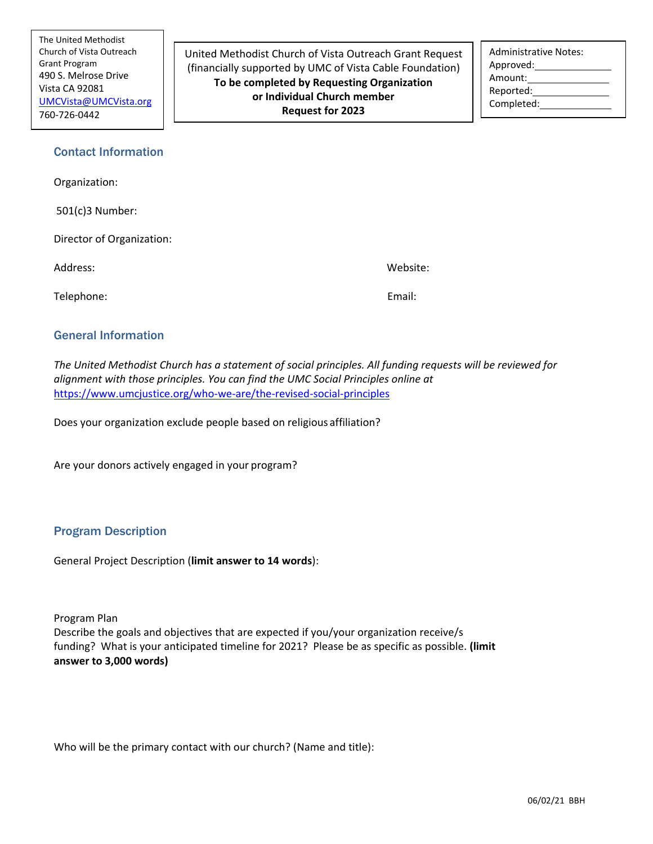United Methodist Church of Vista Outreach Grant Request (financially supported by UMC of Vista Cable Foundation) **To be completed by Requesting Organization or Individual Church member Request for 2023**

Administrative Notes: Approved: Amount: Reported: Completed:

## Contact Information

| Website: |
|----------|
|          |

## Telephone: Email: Email: Email: Email: Email: Email: Email: Email: Email: Email: Email: Email: Email: Email: Email: Email: Email: Email: Email: Email: Email: Email: Email: Email: Email: Email: Email: Email: Email: Email: E

## General Information

*The United Methodist Church has a statement of social principles. All funding requests will be reviewed for alignment with those principles. You can find the UMC Social Principles online at*  <https://www.umcjustice.org/who-we-are/the-revised-social-principles>

Does your organization exclude people based on religious affiliation?

Are your donors actively engaged in your program?

## Program Description

General Project Description (**limit answer to 14 words**):

Program Plan Describe the goals and objectives that are expected if you/your organization receive/s funding? What is your anticipated timeline for 2021? Please be as specific as possible. **(limit answer to 3,000 words)** 

Who will be the primary contact with our church? (Name and title):